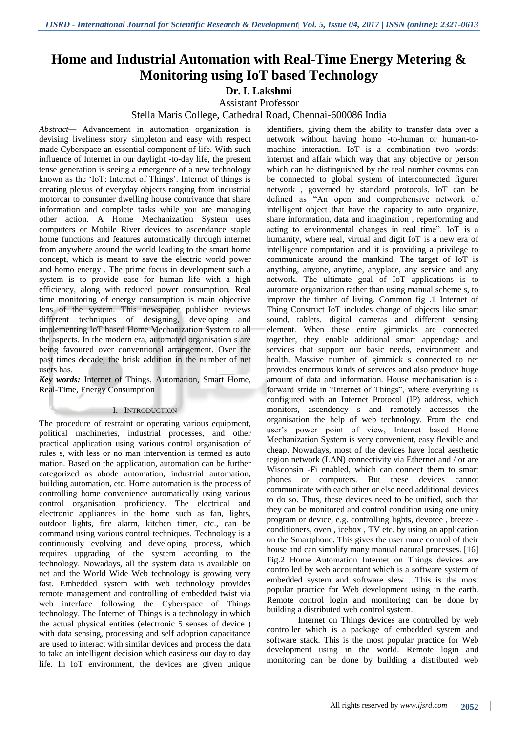# **Home and Industrial Automation with Real-Time Energy Metering & Monitoring using IoT based Technology**

**Dr. I. Lakshmi**

Assistant Professor

Stella Maris College, Cathedral Road, Chennai-600086 India

*Abstract—* Advancement in automation organization is devising liveliness story simpleton and easy with respect made Cyberspace an essential component of life. With such influence of Internet in our daylight -to-day life, the present tense generation is seeing a emergence of a new technology known as the 'IoT: Internet of Things'. Internet of things is creating plexus of everyday objects ranging from industrial motorcar to consumer dwelling house contrivance that share information and complete tasks while you are managing other action. A Home Mechanization System uses computers or Mobile River devices to ascendance staple home functions and features automatically through internet from anywhere around the world leading to the smart home concept, which is meant to save the electric world power and homo energy . The prime focus in development such a system is to provide ease for human life with a high efficiency, along with reduced power consumption. Real time monitoring of energy consumption is main objective lens of the system. This newspaper publisher reviews different techniques of designing, developing and implementing IoT based Home Mechanization System to all the aspects. In the modern era, automated organisation s are being favoured over conventional arrangement. Over the past times decade, the brisk addition in the number of net users has.

*Key words:* Internet of Things, Automation, Smart Home, Real-Time, Energy Consumption

# I. INTRODUCTION

The procedure of restraint or operating various equipment, political machineries, industrial processes, and other practical application using various control organisation of rules s, with less or no man intervention is termed as auto mation. Based on the application, automation can be further categorized as abode automation, industrial automation, building automation, etc. Home automation is the process of controlling home convenience automatically using various control organisation proficiency. The electrical and electronic appliances in the home such as fan, lights, outdoor lights, fire alarm, kitchen timer, etc., can be command using various control techniques. Technology is a continuously evolving and developing process, which requires upgrading of the system according to the technology. Nowadays, all the system data is available on net and the World Wide Web technology is growing very fast. Embedded system with web technology provides remote management and controlling of embedded twist via web interface following the Cyberspace of Things technology. The Internet of Things is a technology in which the actual physical entities (electronic 5 senses of device ) with data sensing, processing and self adoption capacitance are used to interact with similar devices and process the data to take an intelligent decision which easiness our day to day life. In IoT environment, the devices are given unique

identifiers, giving them the ability to transfer data over a network without having homo -to-human or human-tomachine interaction. IoT is a combination two words: internet and affair which way that any objective or person which can be distinguished by the real number cosmos can be connected to global system of interconnected figurer network , governed by standard protocols. IoT can be defined as "An open and comprehensive network of intelligent object that have the capacity to auto organize, share information, data and imagination , reperforming and acting to environmental changes in real time". IoT is a humanity, where real, virtual and digit IoT is a new era of intelligence computation and it is providing a privilege to communicate around the mankind. The target of IoT is anything, anyone, anytime, anyplace, any service and any network. The ultimate goal of IoT applications is to automate organization rather than using manual scheme s, to improve the timber of living. Common fig .1 Internet of Thing Construct IoT includes change of objects like smart sound, tablets, digital cameras and different sensing element. When these entire gimmicks are connected together, they enable additional smart appendage and services that support our basic needs, environment and health. Massive number of gimmick s connected to net provides enormous kinds of services and also produce huge amount of data and information. House mechanisation is a forward stride in "Internet of Things", where everything is configured with an Internet Protocol (IP) address, which monitors, ascendency s and remotely accesses the organisation the help of web technology. From the end user"s power point of view, Internet based Home Mechanization System is very convenient, easy flexible and cheap. Nowadays, most of the devices have local aesthetic region network (LAN) connectivity via Ethernet and / or are Wisconsin -Fi enabled, which can connect them to smart phones or computers. But these devices cannot communicate with each other or else need additional devices to do so. Thus, these devices need to be unified, such that they can be monitored and control condition using one unity program or device, e.g. controlling lights, devotee , breeze conditioners, oven , icebox , TV etc. by using an application on the Smartphone. This gives the user more control of their house and can simplify many manual natural processes. [16] Fig.2 Home Automation Internet on Things devices are controlled by web accountant which is a software system of embedded system and software slew . This is the most popular practice for Web development using in the earth. Remote control login and monitoring can be done by building a distributed web control system.

Internet on Things devices are controlled by web controller which is a package of embedded system and software stack. This is the most popular practice for Web development using in the world. Remote login and monitoring can be done by building a distributed web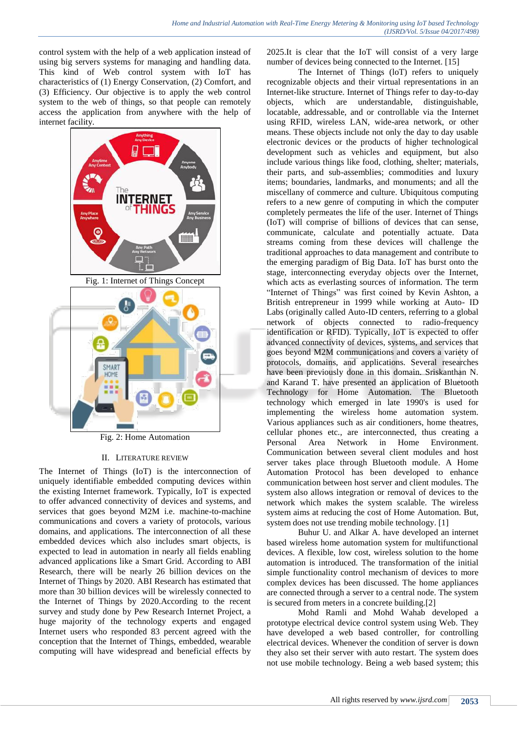control system with the help of a web application instead of using big servers systems for managing and handling data. This kind of Web control system with IoT has characteristics of (1) Energy Conservation, (2) Comfort, and (3) Efficiency. Our objective is to apply the web control system to the web of things, so that people can remotely access the application from anywhere with the help of internet facility.



Fig. 2: Home Automation

#### II. LITERATURE REVIEW

The Internet of Things (IoT) is the interconnection of uniquely identifiable embedded computing devices within the existing Internet framework. Typically, IoT is expected to offer advanced connectivity of devices and systems, and services that goes beyond M2M i.e. machine-to-machine communications and covers a variety of protocols, various domains, and applications. The interconnection of all these embedded devices which also includes smart objects, is expected to lead in automation in nearly all fields enabling advanced applications like a Smart Grid. According to ABI Research, there will be nearly 26 billion devices on the Internet of Things by 2020. ABI Research has estimated that more than 30 billion devices will be wirelessly connected to the Internet of Things by 2020.According to the recent survey and study done by Pew Research Internet Project, a huge majority of the technology experts and engaged Internet users who responded 83 percent agreed with the conception that the Internet of Things, embedded, wearable computing will have widespread and beneficial effects by

2025.It is clear that the IoT will consist of a very large number of devices being connected to the Internet. [15]

The Internet of Things (loT) refers to uniquely recognizable objects and their virtual representations in an Internet-like structure. Internet of Things refer to day-to-day objects, which are understandable, distinguishable, locatable, addressable, and or controllable via the Internet using RFID, wireless LAN, wide-area network, or other means. These objects include not only the day to day usable electronic devices or the products of higher technological development such as vehicles and equipment, but also include various things like food, clothing, shelter; materials, their parts, and sub-assemblies; commodities and luxury items; boundaries, landmarks, and monuments; and all the miscellany of commerce and culture. Ubiquitous computing refers to a new genre of computing in which the computer completely permeates the life of the user. Internet of Things (IoT) will comprise of billions of devices that can sense, communicate, calculate and potentially actuate. Data streams coming from these devices will challenge the traditional approaches to data management and contribute to the emerging paradigm of Big Data. IoT has burst onto the stage, interconnecting everyday objects over the Internet, which acts as everlasting sources of information. The term "Internet of Things" was first coined by Kevin Ashton, a British entrepreneur in 1999 while working at Auto- ID Labs (originally called Auto-ID centers, referring to a global network of objects connected to radio-frequency identification or RFID). Typically, IoT is expected to offer advanced connectivity of devices, systems, and services that goes beyond M2M communications and covers a variety of protocols, domains, and applications. Several researches have been previously done in this domain. Sriskanthan N. and Karand T. have presented an application of Bluetooth Technology for Home Automation. The Bluetooth technology which emerged in late 1990's is used for implementing the wireless home automation system. Various appliances such as air conditioners, home theatres, cellular phones etc., are interconnected, thus creating a Personal Area Network in Home Environment. Communication between several client modules and host server takes place through Bluetooth module. A Home Automation Protocol has been developed to enhance communication between host server and client modules. The system also allows integration or removal of devices to the network which makes the system scalable. The wireless system aims at reducing the cost of Home Automation. But, system does not use trending mobile technology. [1]

Buhur U. and Alkar A. have developed an internet based wireless home automation system for multifunctional devices. A flexible, low cost, wireless solution to the home automation is introduced. The transformation of the initial simple functionality control mechanism of devices to more complex devices has been discussed. The home appliances are connected through a server to a central node. The system is secured from meters in a concrete building.[2]

Mohd Ramli and Mohd Wahab developed a prototype electrical device control system using Web. They have developed a web based controller, for controlling electrical devices. Whenever the condition of server is down they also set their server with auto restart. The system does not use mobile technology. Being a web based system; this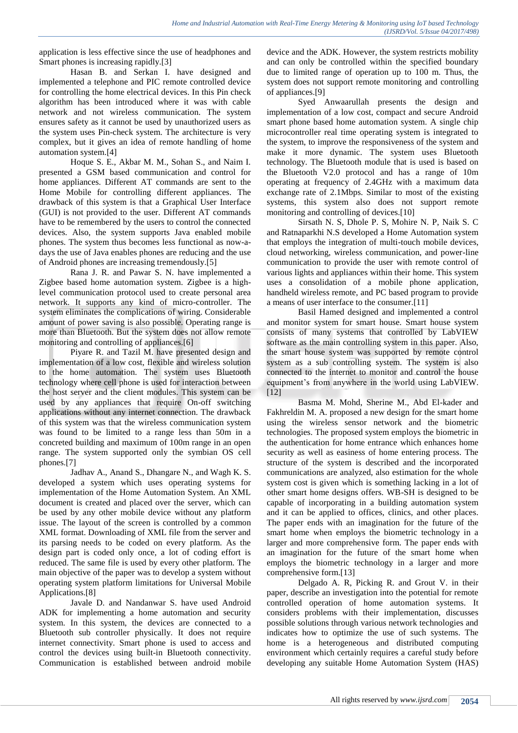application is less effective since the use of headphones and Smart phones is increasing rapidly.[3]

Hasan B. and Serkan I. have designed and implemented a telephone and PIC remote controlled device for controlling the home electrical devices. In this Pin check algorithm has been introduced where it was with cable network and not wireless communication. The system ensures safety as it cannot be used by unauthorized users as the system uses Pin-check system. The architecture is very complex, but it gives an idea of remote handling of home automation system.[4]

Hoque S. E., Akbar M. M., Sohan S., and Naim I. presented a GSM based communication and control for home appliances. Different AT commands are sent to the Home Mobile for controlling different appliances. The drawback of this system is that a Graphical User Interface (GUI) is not provided to the user. Different AT commands have to be remembered by the users to control the connected devices. Also, the system supports Java enabled mobile phones. The system thus becomes less functional as now-adays the use of Java enables phones are reducing and the use of Android phones are increasing tremendously.[5]

Rana J. R. and Pawar S. N. have implemented a Zigbee based home automation system. Zigbee is a highlevel communication protocol used to create personal area network. It supports any kind of micro-controller. The system eliminates the complications of wiring. Considerable amount of power saving is also possible. Operating range is more than Bluetooth. But the system does not allow remote monitoring and controlling of appliances.[6]

Piyare R. and Tazil M. have presented design and implementation of a low cost, flexible and wireless solution to the home automation. The system uses Bluetooth technology where cell phone is used for interaction between the host server and the client modules. This system can be used by any appliances that require On-off switching applications without any internet connection. The drawback of this system was that the wireless communication system was found to be limited to a range less than 50m in a concreted building and maximum of 100m range in an open range. The system supported only the symbian OS cell phones.[7]

Jadhav A., Anand S., Dhangare N., and Wagh K. S. developed a system which uses operating systems for implementation of the Home Automation System. An XML document is created and placed over the server, which can be used by any other mobile device without any platform issue. The layout of the screen is controlled by a common XML format. Downloading of XML file from the server and its parsing needs to be coded on every platform. As the design part is coded only once, a lot of coding effort is reduced. The same file is used by every other platform. The main objective of the paper was to develop a system without operating system platform limitations for Universal Mobile Applications.[8]

Javale D. and Nandanwar S. have used Android ADK for implementing a home automation and security system. In this system, the devices are connected to a Bluetooth sub controller physically. It does not require internet connectivity. Smart phone is used to access and control the devices using built-in Bluetooth connectivity. Communication is established between android mobile

device and the ADK. However, the system restricts mobility and can only be controlled within the specified boundary due to limited range of operation up to 100 m. Thus, the system does not support remote monitoring and controlling of appliances.<sup>[9]</sup>

Syed Anwaarullah presents the design and implementation of a low cost, compact and secure Android smart phone based home automation system. A single chip microcontroller real time operating system is integrated to the system, to improve the responsiveness of the system and make it more dynamic. The system uses Bluetooth technology. The Bluetooth module that is used is based on the Bluetooth V2.0 protocol and has a range of 10m operating at frequency of 2.4GHz with a maximum data exchange rate of 2.1Mbps. Similar to most of the existing systems, this system also does not support remote monitoring and controlling of devices.[10]

Sirsath N. S, Dhole P. S, Mohire N. P, Naik S. C and Ratnaparkhi N.S developed a Home Automation system that employs the integration of multi-touch mobile devices, cloud networking, wireless communication, and power-line communication to provide the user with remote control of various lights and appliances within their home. This system uses a consolidation of a mobile phone application, handheld wireless remote, and PC based program to provide a means of user interface to the consumer.[11]

Basil Hamed designed and implemented a control and monitor system for smart house. Smart house system consists of many systems that controlled by LabVIEW software as the main controlling system in this paper. Also, the smart house system was supported by remote control system as a sub controlling system. The system is also connected to the internet to monitor and control the house equipment"s from anywhere in the world using LabVIEW. [12]

Basma M. Mohd, Sherine M., Abd El-kader and Fakhreldin M. A. proposed a new design for the smart home using the wireless sensor network and the biometric technologies. The proposed system employs the biometric in the authentication for home entrance which enhances home security as well as easiness of home entering process. The structure of the system is described and the incorporated communications are analyzed, also estimation for the whole system cost is given which is something lacking in a lot of other smart home designs offers. WB-SH is designed to be capable of incorporating in a building automation system and it can be applied to offices, clinics, and other places. The paper ends with an imagination for the future of the smart home when employs the biometric technology in a larger and more comprehensive form. The paper ends with an imagination for the future of the smart home when employs the biometric technology in a larger and more comprehensive form.[13]

Delgado A. R, Picking R. and Grout V. in their paper, describe an investigation into the potential for remote controlled operation of home automation systems. It considers problems with their implementation, discusses possible solutions through various network technologies and indicates how to optimize the use of such systems. The home is a heterogeneous and distributed computing environment which certainly requires a careful study before developing any suitable Home Automation System (HAS)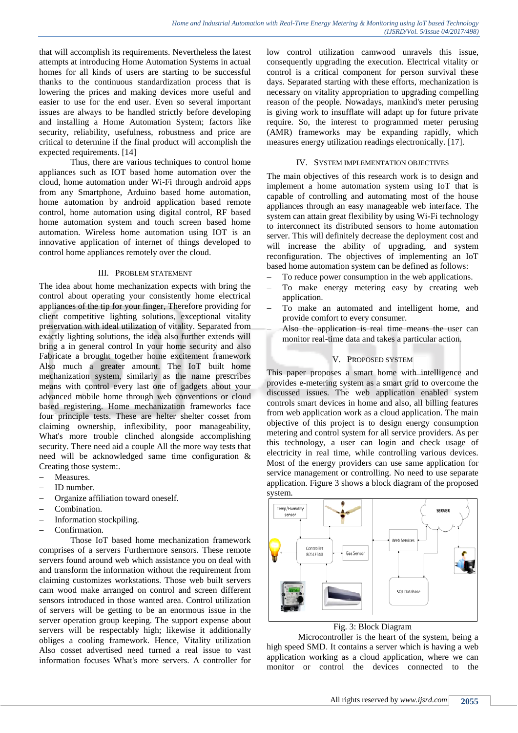that will accomplish its requirements. Nevertheless the latest attempts at introducing Home Automation Systems in actual homes for all kinds of users are starting to be successful thanks to the continuous standardization process that is lowering the prices and making devices more useful and easier to use for the end user. Even so several important issues are always to be handled strictly before developing and installing a Home Automation System; factors like security, reliability, usefulness, robustness and price are critical to determine if the final product will accomplish the expected requirements. [14]

Thus, there are various techniques to control home appliances such as IOT based home automation over the cloud, home automation under Wi-Fi through android apps from any Smartphone, Arduino based home automation, home automation by android application based remote control, home automation using digital control, RF based home automation system and touch screen based home automation. Wireless home automation using IOT is an innovative application of internet of things developed to control home appliances remotely over the cloud.

#### III. PROBLEM STATEMENT

The idea about home mechanization expects with bring the control about operating your consistently home electrical appliances of the tip for your finger, Therefore providing for client competitive lighting solutions, exceptional vitality preservation with ideal utilization of vitality. Separated from exactly lighting solutions, the idea also further extends will bring a in general control In your home security and also Fabricate a brought together home excitement framework Also much a greater amount. The IoT built home mechanization system, similarly as the name prescribes means with control every last one of gadgets about your advanced mobile home through web conventions or cloud based registering. Home mechanization frameworks face four principle tests. These are helter shelter cosset from claiming ownership, inflexibility, poor manageability, What's more trouble clinched alongside accomplishing security. There need aid a couple All the more way tests that need will be acknowledged same time configuration & Creating those system:.

- Measures.
- ID number.
- Organize affiliation toward oneself.
- Combination.
- $-$  Information stockpiling.
- Confirmation.

Those IoT based home mechanization framework comprises of a servers Furthermore sensors. These remote servers found around web which assistance you on deal with and transform the information without the requirement from claiming customizes workstations. Those web built servers cam wood make arranged on control and screen different sensors introduced in those wanted area. Control utilization of servers will be getting to be an enormous issue in the server operation group keeping. The support expense about servers will be respectably high; likewise it additionally obliges a cooling framework. Hence, Vitality utilization Also cosset advertised need turned a real issue to vast information focuses What's more servers. A controller for

low control utilization camwood unravels this issue, consequently upgrading the execution. Electrical vitality or control is a critical component for person survival these days. Separated starting with these efforts, mechanization is necessary on vitality appropriation to upgrading compelling reason of the people. Nowadays, mankind's meter perusing is giving work to insufflate will adapt up for future private require. So, the interest to programmed meter perusing (AMR) frameworks may be expanding rapidly, which measures energy utilization readings electronically. [17].

#### IV. SYSTEM IMPLEMENTATION OBJECTIVES

The main objectives of this research work is to design and implement a home automation system using IoT that is capable of controlling and automating most of the house appliances through an easy manageable web interface. The system can attain great flexibility by using Wi-Fi technology to interconnect its distributed sensors to home automation server. This will definitely decrease the deployment cost and will increase the ability of upgrading, and system reconfiguration. The objectives of implementing an IoT based home automation system can be defined as follows:

- To reduce power consumption in the web applications.
- To make energy metering easy by creating web application.
- To make an automated and intelligent home, and provide comfort to every consumer.
- Also the application is real time means the user can monitor real-time data and takes a particular action.

# V. PROPOSED SYSTEM

This paper proposes a smart home with intelligence and provides e-metering system as a smart grid to overcome the discussed issues. The web application enabled system controls smart devices in home and also, all billing features from web application work as a cloud application. The main objective of this project is to design energy consumption metering and control system for all service providers. As per this technology, a user can login and check usage of electricity in real time, while controlling various devices. Most of the energy providers can use same application for service management or controlling. No need to use separate application. Figure 3 shows a block diagram of the proposed system.



Fig. 3: Block Diagram

Microcontroller is the heart of the system, being a high speed SMD. It contains a server which is having a web application working as a cloud application, where we can monitor or control the devices connected to the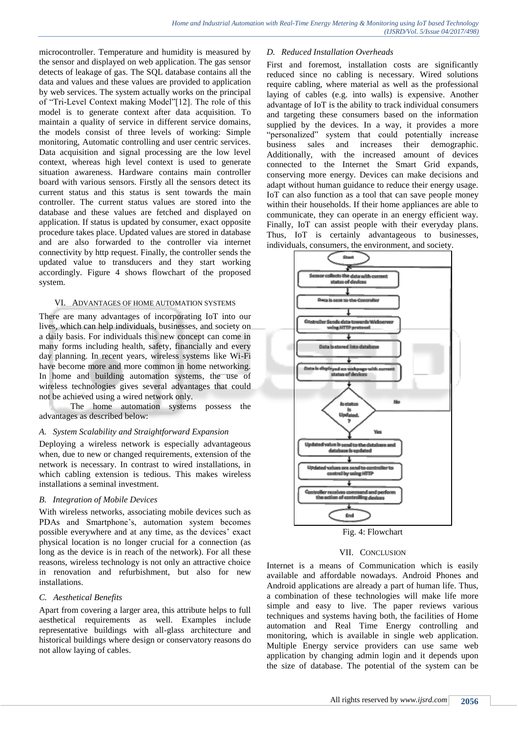microcontroller. Temperature and humidity is measured by the sensor and displayed on web application. The gas sensor detects of leakage of gas. The SQL database contains all the data and values and these values are provided to application by web services. The system actually works on the principal of "Tri-Level Context making Model"[12]. The role of this model is to generate context after data acquisition. To maintain a quality of service in different service domains, the models consist of three levels of working: Simple monitoring, Automatic controlling and user centric services. Data acquisition and signal processing are the low level context, whereas high level context is used to generate situation awareness. Hardware contains main controller board with various sensors. Firstly all the sensors detect its current status and this status is sent towards the main controller. The current status values are stored into the database and these values are fetched and displayed on application. If status is updated by consumer, exact opposite procedure takes place. Updated values are stored in database and are also forwarded to the controller via internet connectivity by http request. Finally, the controller sends the updated value to transducers and they start working accordingly. Figure 4 shows flowchart of the proposed system.

#### VI. ADVANTAGES OF HOME AUTOMATION SYSTEMS

There are many advantages of incorporating IoT into our lives, which can help individuals, businesses, and society on a daily basis. For individuals this new concept can come in many forms including health, safety, financially and every day planning. In recent years, wireless systems like Wi-Fi have become more and more common in home networking. In home and building automation systems, the use of wireless technologies gives several advantages that could not be achieved using a wired network only.

The home automation systems possess the advantages as described below:

# *A. System Scalability and Straightforward Expansion*

Deploying a wireless network is especially advantageous when, due to new or changed requirements, extension of the network is necessary. In contrast to wired installations, in which cabling extension is tedious. This makes wireless installations a seminal investment.

# *B. Integration of Mobile Devices*

With wireless networks, associating mobile devices such as PDAs and Smartphone"s, automation system becomes possible everywhere and at any time, as the devices' exact physical location is no longer crucial for a connection (as long as the device is in reach of the network). For all these reasons, wireless technology is not only an attractive choice in renovation and refurbishment, but also for new installations.

# *C. Aesthetical Benefits*

Apart from covering a larger area, this attribute helps to full aesthetical requirements as well. Examples include representative buildings with all-glass architecture and historical buildings where design or conservatory reasons do not allow laying of cables.

#### *D. Reduced Installation Overheads*

First and foremost, installation costs are significantly reduced since no cabling is necessary. Wired solutions require cabling, where material as well as the professional laying of cables (e.g. into walls) is expensive. Another advantage of IoT is the ability to track individual consumers and targeting these consumers based on the information supplied by the devices. In a way, it provides a more "personalized" system that could potentially increase business sales and increases their demographic. Additionally, with the increased amount of devices connected to the Internet the Smart Grid expands, conserving more energy. Devices can make decisions and adapt without human guidance to reduce their energy usage. IoT can also function as a tool that can save people money within their households. If their home appliances are able to communicate, they can operate in an energy efficient way. Finally, IoT can assist people with their everyday plans. Thus, IoT is certainly advantageous to businesses, individuals, consumers, the environment, and society.



Fig. 4: Flowchart

# VII. CONCLUSION

Internet is a means of Communication which is easily available and affordable nowadays. Android Phones and Android applications are already a part of human life. Thus, a combination of these technologies will make life more simple and easy to live. The paper reviews various techniques and systems having both, the facilities of Home automation and Real Time Energy controlling and monitoring, which is available in single web application. Multiple Energy service providers can use same web application by changing admin login and it depends upon the size of database. The potential of the system can be